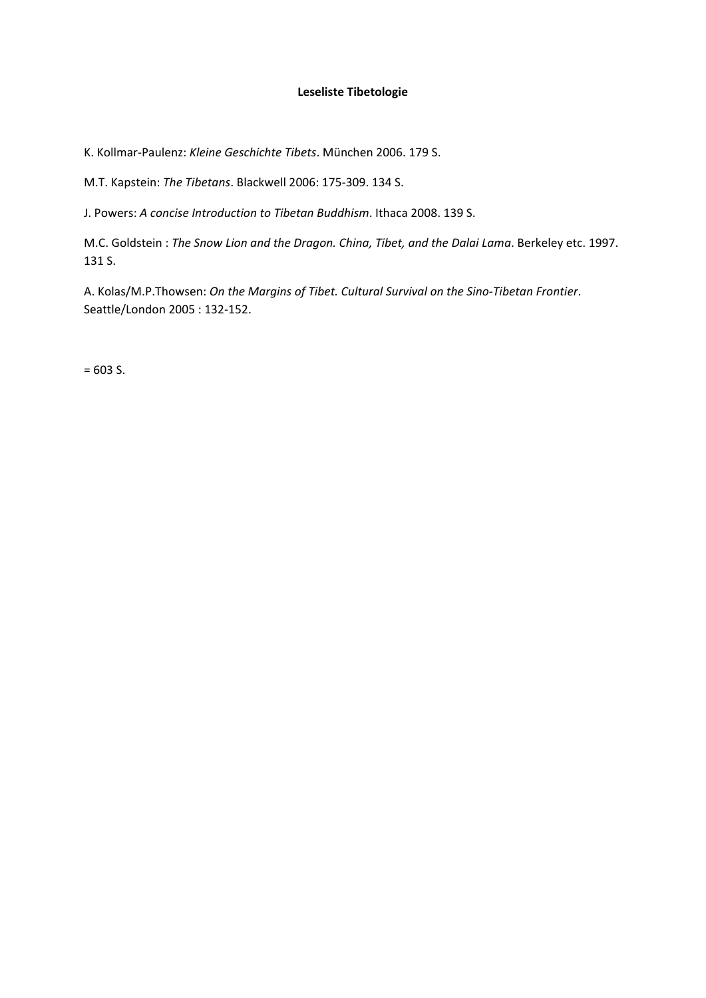## **Leseliste Tibetologie**

K. Kollmar‐Paulenz: *Kleine Geschichte Tibets*. München 2006. 179 S.

M.T. Kapstein: *The Tibetans*. Blackwell 2006: 175‐309. 134 S.

J. Powers: *A concise Introduction to Tibetan Buddhism*. Ithaca 2008. 139 S.

M.C. Goldstein : *The Snow Lion and the Dragon. China, Tibet, and the Dalai Lama*. Berkeley etc. 1997. 131 S.

A. Kolas/M.P.Thowsen: *On the Margins of Tibet. Cultural Survival on the Sino‐Tibetan Frontier*. Seattle/London 2005 : 132‐152.

 $= 603 S.$